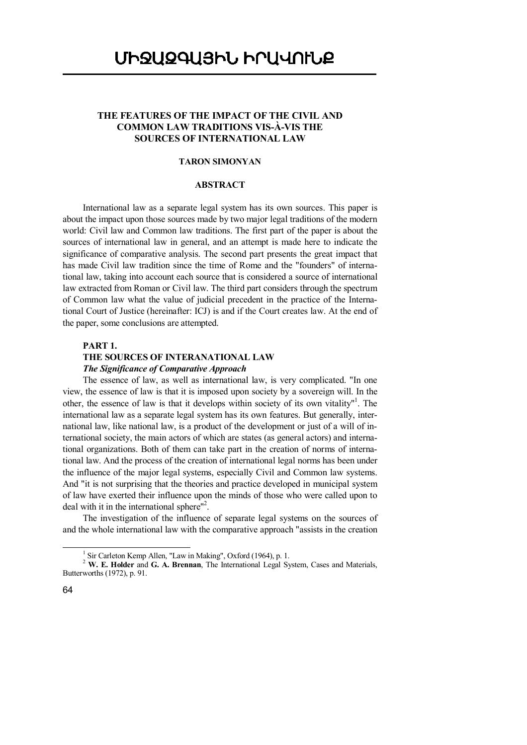# **THE FEATURES OF THE IMPACT OF THE CIVIL AND COMMON LAW TRADITIONS VIS-À-VIS THE SOURCES OF INTERNATIONAL LAW**

## **TARON SIMONYAN**

# **ABSTRACT**

International law as a separate legal system has its own sources. This paper is about the impact upon those sources made by two major legal traditions of the modern world: Civil law and Common law traditions. The first part of the paper is about the sources of international law in general, and an attempt is made here to indicate the significance of comparative analysis. The second part presents the great impact that has made Civil law tradition since the time of Rome and the "founders" of international law, taking into account each source that is considered a source of international law extracted from Roman or Civil law. The third part considers through the spectrum of Common law what the value of judicial precedent in the practice of the International Court of Justice (hereinafter: ICJ) is and if the Court creates law. At the end of the paper, some conclusions are attempted.

# **PART 1.**

## **THE SOURCES OF INTERANATIONAL LAW**

#### *The Significance of Comparative Approach*

The essence of law, as well as international law, is very complicated. "In one view, the essence of law is that it is imposed upon society by a sovereign will. In the other, the essence of law is that it develops within society of its own vitality"<sup>1</sup>. The international law as a separate legal system has its own features. But generally, international law, like national law, is a product of the development or just of a will of international society, the main actors of which are states (as general actors) and international organizations. Both of them can take part in the creation of norms of international law. And the process of the creation of international legal norms has been under the influence of the major legal systems, especially Civil and Common law systems. And "it is not surprising that the theories and practice developed in municipal system of law have exerted their influence upon the minds of those who were called upon to deal with it in the international sphere"<sup>2</sup>.

The investigation of the influence of separate legal systems on the sources of and the whole international law with the comparative approach "assists in the creation

<sup>1</sup> Sir Carleton Kemp Allen, "Law in Making", Oxford (1964), p. 1.

<sup>&</sup>lt;sup>2</sup> W. E. Holder and G. A. Brennan, The International Legal System, Cases and Materials, Butterworths (1972), p. 91.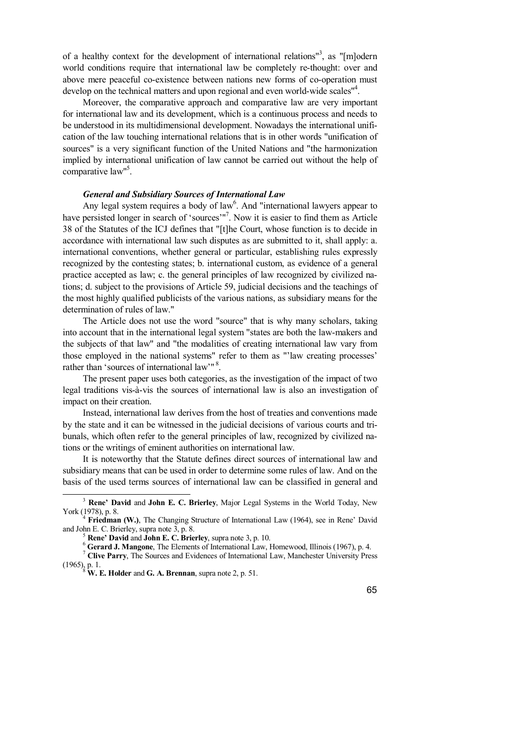of a healthy context for the development of international relations<sup>13</sup>, as "[m]odern world conditions require that international law be completely re-thought: over and above mere peaceful co-existence between nations new forms of co-operation must develop on the technical matters and upon regional and even world-wide scales"<sup>4</sup>.

Moreover, the comparative approach and comparative law are very important for international law and its development, which is a continuous process and needs to be understood in its multidimensional development. Nowadays the international unification of the law touching international relations that is in other words "unification of sources" is a very significant function of the United Nations and "the harmonization implied by international unification of law cannot be carried out without the help of comparative law"<sup>5</sup>.

## *General and Subsidiary Sources of International Law*

Any legal system requires a body of law<sup>6</sup>. And "international lawyers appear to have persisted longer in search of 'sources'"<sup>7</sup>. Now it is easier to find them as Article 38 of the Statutes of the ICJ defines that "[t]he Court, whose function is to decide in accordance with international law such disputes as are submitted to it, shall apply: a. international conventions, whether general or particular, establishing rules expressly recognized by the contesting states; b. international custom, as evidence of a general practice accepted as law; c. the general principles of law recognized by civilized nations; d. subject to the provisions of Article 59, judicial decisions and the teachings of the most highly qualified publicists of the various nations, as subsidiary means for the determination of rules of law."

The Article does not use the word "source" that is why many scholars, taking into account that in the international legal system "states are both the law-makers and the subjects of that law" and "the modalities of creating international law vary from those employed in the national systems" refer to them as "'law creating processes' rather than 'sources of international law'"<sup>8</sup>.

The present paper uses both categories, as the investigation of the impact of two legal traditions vis-à-vis the sources of international law is also an investigation of impact on their creation.

Instead, international law derives from the host of treaties and conventions made by the state and it can be witnessed in the judicial decisions of various courts and tribunals, which often refer to the general principles of law, recognized by civilized nations or the writings of eminent authorities on international law.

It is noteworthy that the Statute defines direct sources of international law and subsidiary means that can be used in order to determine some rules of law. And on the basis of the used terms sources of international law can be classified in general and

<sup>3</sup> **Rene' David** and **John E. C. Brierley**, Major Legal Systems in the World Today, New York (1978), p. 8.<br><sup>4</sup> **Friedman (W.)**, The Changing Structure of International Law (1964), see in Rene' David

and John E. C. Brierley, supra note 3, p. 8.

<sup>5</sup> **Rene' David** and **John E. C. Brierley**, supra note 3, p. 10.

<sup>6</sup> **Gerard J. Mangone**, The Elements of International Law, Homewood, Illinois (1967), p. 4.

<sup>7</sup> **Clive Parry**, The Sources and Evidences of International Law, Manchester University Press (1965), p. 1. 8  **W. E. Holder** and **G. A. Brennan**, supra note 2, p. 51.

<sup>65</sup>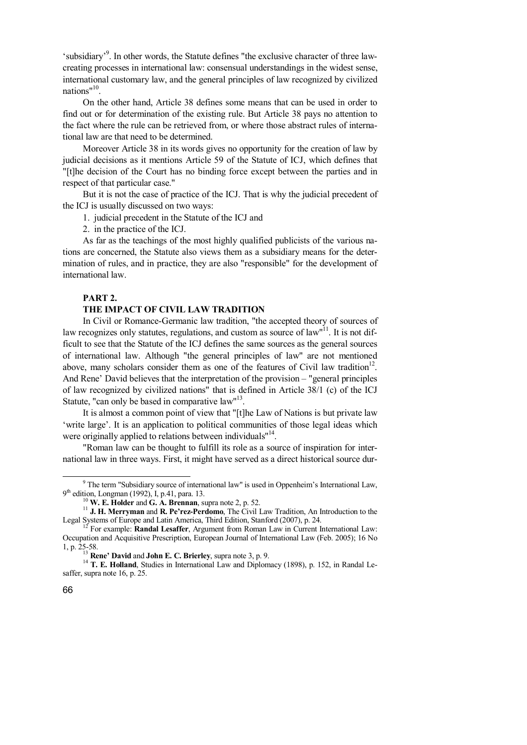'subsidiary'<sup>9</sup>. In other words, the Statute defines "the exclusive character of three lawcreating processes in international law: consensual understandings in the widest sense, international customary law, and the general principles of law recognized by civilized nations"<sup>10</sup>.

On the other hand, Article 38 defines some means that can be used in order to find out or for determination of the existing rule. But Article 38 pays no attention to the fact where the rule can be retrieved from, or where those abstract rules of international law are that need to be determined.

Moreover Article 38 in its words gives no opportunity for the creation of law by judicial decisions as it mentions Article 59 of the Statute of ICJ, which defines that "[t]he decision of the Court has no binding force except between the parties and in respect of that particular case."

But it is not the case of practice of the ICJ. That is why the judicial precedent of the ICJ is usually discussed on two ways:

1. judicial precedent in the Statute of the ICJ and

2. in the practice of the ICJ.

As far as the teachings of the most highly qualified publicists of the various nations are concerned, the Statute also views them as a subsidiary means for the determination of rules, and in practice, they are also "responsible" for the development of international law.

## **PART 2.**

# **THE IMPACT OF CIVIL LAW TRADITION**

In Civil or Romance-Germanic law tradition, "the accepted theory of sources of law recognizes only statutes, regulations, and custom as source of law"<sup>11</sup>. It is not difficult to see that the Statute of the ICJ defines the same sources as the general sources of international law. Although "the general principles of law" are not mentioned above, many scholars consider them as one of the features of Civil law tradition<sup>12</sup>. And Rene' David believes that the interpretation of the provision – "general principles of law recognized by civilized nations" that is defined in Article 38/1 (c) of the ICJ Statute, "can only be based in comparative law"<sup>13</sup>.

It is almost a common point of view that "[t]he Law of Nations is but private law 'write large'. It is an application to political communities of those legal ideas which were originally applied to relations between individuals"<sup>14</sup>.

"Roman law can be thought to fulfill its role as a source of inspiration for international law in three ways. First, it might have served as a direct historical source dur-

<sup>&</sup>lt;sup>9</sup> The term "Subsidiary source of international law" is used in Oppenheim's International Law, 9<sup>th</sup> edition, Longman (1992), I, p.41, para. 13.

<sup>10</sup> **W. E. Holder** and **G. A. Brennan**, supra note 2, p. 52.

<sup>11</sup> **J. H. Merryman** and **R. Pe'rez-Perdomo**, The Civil Law Tradition, An Introduction to the Legal Systems of Europe and Latin America, Third Edition, Stanford (2007), p. 24.

<sup>&</sup>lt;sup>12</sup> For example: **Randal Lesaffer**, Argument from Roman Law in Current International Law: Occupation and Acquisitive Prescription, European Journal of International Law (Feb. 2005); 16 No 1, p. 25-58.

<sup>13</sup> **Rene' David** and **John E. C. Brierley**, supra note 3, p. 9.

<sup>&</sup>lt;sup>14</sup> T. E. Holland, Studies in International Law and Diplomacy (1898), p. 152, in Randal Lesaffer, supra note 16, p. 25.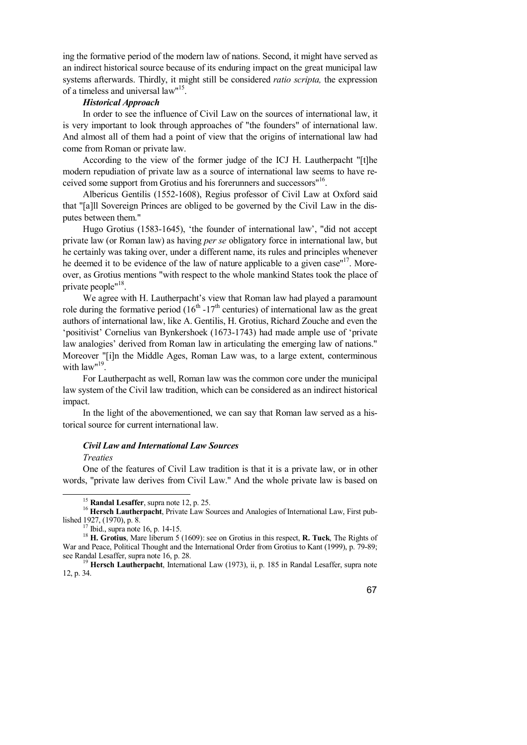ing the formative period of the modern law of nations. Second, it might have served as an indirect historical source because of its enduring impact on the great municipal law systems afterwards. Thirdly, it might still be considered *ratio scripta,* the expression of a timeless and universal law"<sup>15</sup>.

## *Historical Approach*

In order to see the influence of Civil Law on the sources of international law, it is very important to look through approaches of "the founders" of international law. And almost all of them had a point of view that the origins of international law had come from Roman or private law.

According to the view of the former judge of the ICJ H. Lautherpacht "[t]he modern repudiation of private law as a source of international law seems to have received some support from Grotius and his forerunners and successors"<sup>16</sup>.

Albericus Gentilis (1552-1608), Regius professor of Civil Law at Oxford said that "[a]ll Sovereign Princes are obliged to be governed by the Civil Law in the disputes between them."

Hugo Grotius (1583-1645), 'the founder of international law', "did not accept private law (or Roman law) as having *per se* obligatory force in international law, but he certainly was taking over, under a different name, its rules and principles whenever he deemed it to be evidence of the law of nature applicable to a given case"<sup>17</sup>. Moreover, as Grotius mentions "with respect to the whole mankind States took the place of private people"<sup>18</sup>.

We agree with H. Lautherpacht's view that Roman law had played a paramount role during the formative period  $(16<sup>th</sup> - 17<sup>th</sup>$  centuries) of international law as the great authors of international law, like A. Gentilis, H. Grotius, Richard Zouche and even the 'positivist' Cornelius van Bynkershoek (1673-1743) had made ample use of 'private law analogies' derived from Roman law in articulating the emerging law of nations." Moreover "[i]n the Middle Ages, Roman Law was, to a large extent, conterminous with  $law''^{19}$ .

For Lautherpacht as well, Roman law was the common core under the municipal law system of the Civil law tradition, which can be considered as an indirect historical impact.

In the light of the abovementioned, we can say that Roman law served as a historical source for current international law.

#### *Civil Law and International Law Sources*

#### *Treaties*

 $\overline{a}$ 

One of the features of Civil Law tradition is that it is a private law, or in other words, "private law derives from Civil Law." And the whole private law is based on

<sup>15</sup> **Randal Lesaffer**, supra note 12, p. 25.

<sup>&</sup>lt;sup>16</sup> Hersch Lautherpacht, Private Law Sources and Analogies of International Law, First published 1927, (1970), p. 8.

 $17$  Ibid., supra note 16, p. 14-15.

<sup>18</sup> **H. Grotius**, Mare liberum 5 (1609): see on Grotius in this respect, **R. Tuck**, The Rights of War and Peace, Political Thought and the International Order from Grotius to Kant (1999), p. 79-89; see Randal Lesaffer, supra note 16, p. 28.

<sup>&</sup>lt;sup>19</sup> Hersch Lautherpacht, International Law (1973), ii, p. 185 in Randal Lesaffer, supra note 12, p. 34.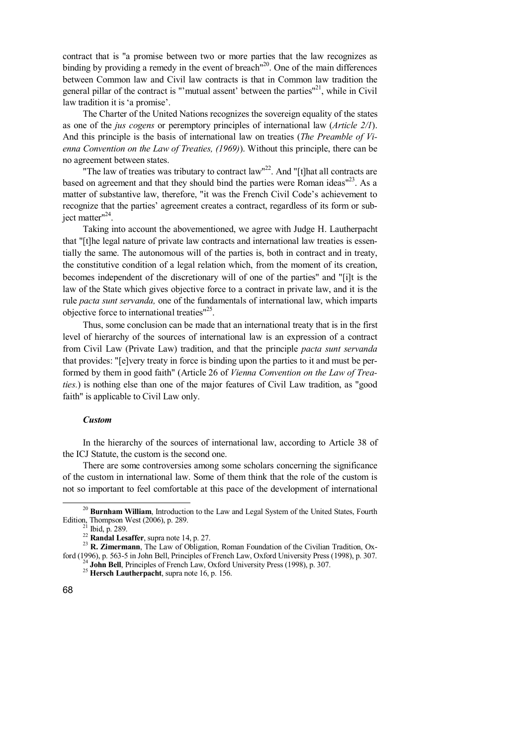contract that is "a promise between two or more parties that the law recognizes as binding by providing a remedy in the event of breach<sup> $n^{20}$ </sup>. One of the main differences between Common law and Civil law contracts is that in Common law tradition the general pillar of the contract is "'mutual assent' between the parties"<sup>21</sup>, while in Civil law tradition it is 'a promise'.

The Charter of the United Nations recognizes the sovereign equality of the states as one of the *jus cogens* or peremptory principles of international law (*Article 2/1*). And this principle is the basis of international law on treaties (*The Preamble of Vienna Convention on the Law of Treaties, (1969)*). Without this principle, there can be no agreement between states.

"The law of treaties was tributary to contract  $law''^{22}$ . And "[t]hat all contracts are based on agreement and that they should bind the parties were Roman ideas"<sup>23</sup>. As a matter of substantive law, therefore, "it was the French Civil Code's achievement to recognize that the parties' agreement creates a contract, regardless of its form or subject matter"<sup>24</sup>.

Taking into account the abovementioned, we agree with Judge H. Lautherpacht that "[t]he legal nature of private law contracts and international law treaties is essentially the same. The autonomous will of the parties is, both in contract and in treaty, the constitutive condition of a legal relation which, from the moment of its creation, becomes independent of the discretionary will of one of the parties" and "[i]t is the law of the State which gives objective force to a contract in private law, and it is the rule *pacta sunt servanda,* one of the fundamentals of international law, which imparts objective force to international treaties"<sup>25</sup>.

Thus, some conclusion can be made that an international treaty that is in the first level of hierarchy of the sources of international law is an expression of a contract from Civil Law (Private Law) tradition, and that the principle *pacta sunt servanda*  that provides: "[e]very treaty in force is binding upon the parties to it and must be performed by them in good faith" (Article 26 of *Vienna Convention on the Law of Treaties.*) is nothing else than one of the major features of Civil Law tradition, as "good faith" is applicable to Civil Law only.

#### *Custom*

In the hierarchy of the sources of international law, according to Article 38 of the ICJ Statute, the custom is the second one.

There are some controversies among some scholars concerning the significance of the custom in international law. Some of them think that the role of the custom is not so important to feel comfortable at this pace of the development of international

<sup>20</sup> **Burnham William**, Introduction to the Law and Legal System of the United States, Fourth Edition, Thompson West (2006), p. 289.

Ibid, p. 289.

<sup>22</sup> **Randal Lesaffer**, supra note 14, p. 27.

<sup>&</sup>lt;sup>23</sup> **R. Zimermann**, The Law of Obligation, Roman Foundation of the Civilian Tradition, Oxford (1996), p. 563-5 in John Bell, Principles of French Law, Oxford University Press (1998), p. 307. <sup>24</sup> John Bell, Principles of French Law, Oxford University Press (1998), p. 307.

<sup>25</sup> **Hersch Lautherpacht**, supra note 16, p. 156.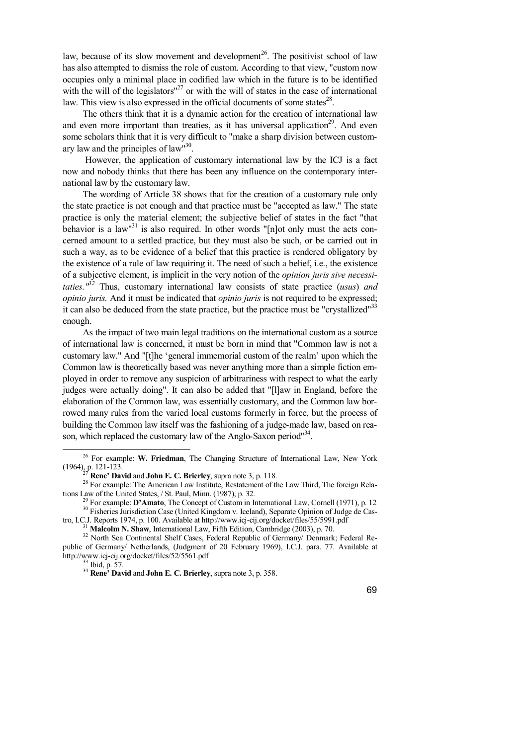law, because of its slow movement and development<sup>26</sup>. The positivist school of law has also attempted to dismiss the role of custom. According to that view, "custom now occupies only a minimal place in codified law which in the future is to be identified with the will of the legislators $n^{27}$  or with the will of states in the case of international law. This view is also expressed in the official documents of some states $^{28}$ .

The others think that it is a dynamic action for the creation of international law and even more important than treaties, as it has universal application<sup>29</sup>. And even some scholars think that it is very difficult to "make a sharp division between customary law and the principles of law"<sup>30</sup>.

 However, the application of customary international law by the ICJ is a fact now and nobody thinks that there has been any influence on the contemporary international law by the customary law.

The wording of Article 38 shows that for the creation of a customary rule only the state practice is not enough and that practice must be "accepted as law." The state practice is only the material element; the subjective belief of states in the fact "that behavior is a law<sup>131</sup> is also required. In other words "[n]ot only must the acts concerned amount to a settled practice, but they must also be such, or be carried out in such a way, as to be evidence of a belief that this practice is rendered obligatory by the existence of a rule of law requiring it. The need of such a belief, i.e., the existence of a subjective element, is implicit in the very notion of the *opinion juris sive necessitaties." <sup>32</sup>* Thus, customary international law consists of state practice (*usus*) *and opinio juris.* And it must be indicated that *opinio juris* is not required to be expressed; it can also be deduced from the state practice, but the practice must be "crystallized"<sup>33</sup> enough.

As the impact of two main legal traditions on the international custom as a source of international law is concerned, it must be born in mind that "Common law is not a customary law." And "[t]he 'general immemorial custom of the realm' upon which the Common law is theoretically based was never anything more than a simple fiction employed in order to remove any suspicion of arbitrariness with respect to what the early judges were actually doing". It can also be added that "[l]aw in England, before the elaboration of the Common law, was essentially customary, and the Common law borrowed many rules from the varied local customs formerly in force, but the process of building the Common law itself was the fashioning of a judge-made law, based on reason, which replaced the customary law of the Anglo-Saxon period"<sup>34</sup>.

<sup>26</sup> For example: **W. Friedman**, The Changing Structure of International Law, New York  $(1964)$ <sub>3</sub>. 121-123.

<sup>27</sup> **Rene' David** and **John E. C. Brierley**, supra note 3, p. 118.

<sup>&</sup>lt;sup>28</sup> For example: The American Law Institute, Restatement of the Law Third, The foreign Relations Law of the United States, / St. Paul, Minn. (1987), p. 32.

<sup>&</sup>lt;sup>2</sup> For example: **D'Amato**, The Concept of Custom in International Law, Cornell (1971), p. 12 <sup>30</sup> Fisheries Jurisdiction Case (United Kingdom v. Iceland), Separate Opinion of Judge de Castro, I.C.J. Reports 1974, p. 100. Available at http://www.icj-cij.org/docket/files/55/5991.pdf

<sup>31</sup> **Malcolm N. Shaw**, International Law, Fifth Edition, Cambridge (2003), p. 70.

<sup>&</sup>lt;sup>32</sup> North Sea Continental Shelf Cases, Federal Republic of Germany/ Denmark; Federal Republic of Germany/ Netherlands, (Judgment of 20 February 1969), I.C.J. para. 77. Available at http://www.icj-cij.org/docket/files/52/5561.pdf

<sup>33</sup> Ibid, p. 57.

<sup>34</sup> **Rene' David** and **John E. C. Brierley**, supra note 3, p. 358.

<sup>69</sup>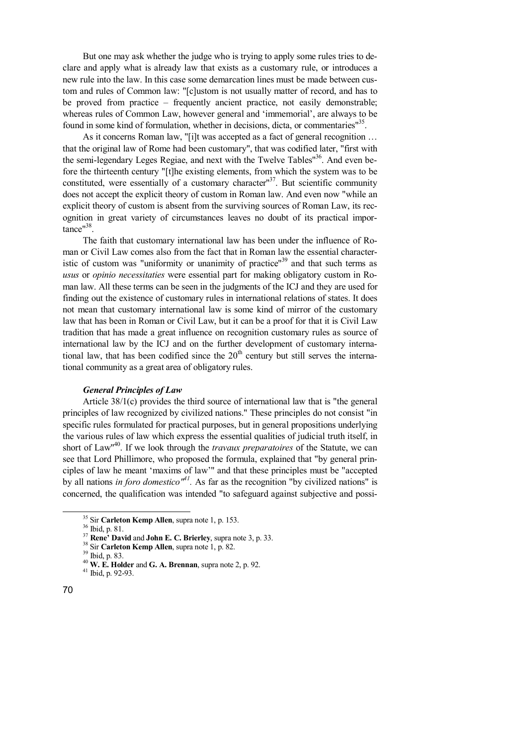But one may ask whether the judge who is trying to apply some rules tries to declare and apply what is already law that exists as a customary rule, or introduces a new rule into the law. In this case some demarcation lines must be made between custom and rules of Common law: "[c]ustom is not usually matter of record, and has to be proved from practice – frequently ancient practice, not easily demonstrable; whereas rules of Common Law, however general and 'immemorial', are always to be found in some kind of formulation, whether in decisions, dicta, or commentaries"<sup>35</sup>.

As it concerns Roman law, "[i]t was accepted as a fact of general recognition … that the original law of Rome had been customary", that was codified later, "first with the semi-legendary Leges Regiae, and next with the Twelve Tables"<sup>36</sup>. And even before the thirteenth century "[t]he existing elements, from which the system was to be constituted, were essentially of a customary character<sup>137</sup>. But scientific community does not accept the explicit theory of custom in Roman law. And even now "while an explicit theory of custom is absent from the surviving sources of Roman Law, its recognition in great variety of circumstances leaves no doubt of its practical importance"<sup>38</sup>.

The faith that customary international law has been under the influence of Roman or Civil Law comes also from the fact that in Roman law the essential characteristic of custom was "uniformity or unanimity of practice"<sup>39</sup> and that such terms as *usus* or *opinio necessitaties* were essential part for making obligatory custom in Roman law. All these terms can be seen in the judgments of the ICJ and they are used for finding out the existence of customary rules in international relations of states. It does not mean that customary international law is some kind of mirror of the customary law that has been in Roman or Civil Law, but it can be a proof for that it is Civil Law tradition that has made a great influence on recognition customary rules as source of international law by the ICJ and on the further development of customary international law, that has been codified since the  $20<sup>th</sup>$  century but still serves the international community as a great area of obligatory rules.

## *General Principles of Law*

Article 38/1(c) provides the third source of international law that is "the general principles of law recognized by civilized nations." These principles do not consist "in specific rules formulated for practical purposes, but in general propositions underlying the various rules of law which express the essential qualities of judicial truth itself, in short of Law" 40 . If we look through the *travaux preparatoires* of the Statute, we can see that Lord Phillimore, who proposed the formula, explained that "by general principles of law he meant 'maxims of law'" and that these principles must be "accepted by all nations *in foro domestico*<sup>*n*41</sup>. As far as the recognition "by civilized nations" is concerned, the qualification was intended "to safeguard against subjective and possi-

<sup>35</sup> Sir **Carleton Kemp Allen**, supra note 1, p. 153.

<sup>36</sup> Ibid, p. 81.

<sup>37</sup> **Rene' David** and **John E. C. Brierley**, supra note 3, p. 33.

<sup>38</sup> Sir **Carleton Kemp Allen**, supra note 1, p. 82.

<sup>39</sup> Ibid, p. 83.

<sup>40</sup> **W. E. Holder** and **G. A. Brennan**, supra note 2, p. 92. <sup>41</sup> Ibid, p. 92-93.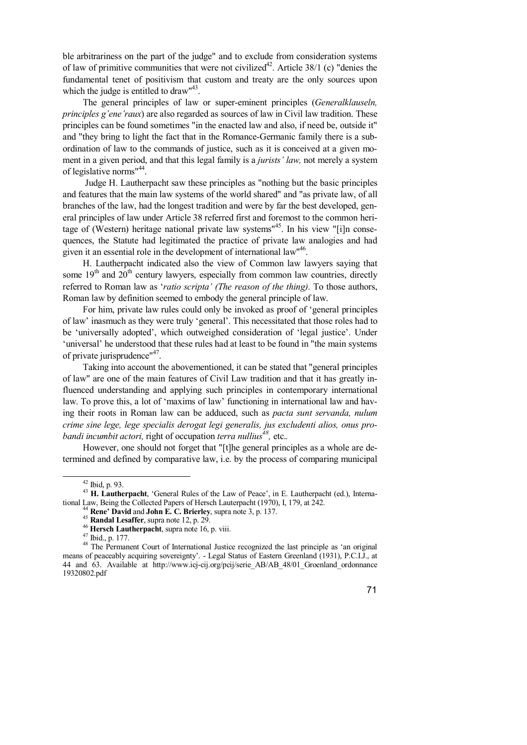ble arbitrariness on the part of the judge" and to exclude from consideration systems of law of primitive communities that were not civilized<sup>42</sup>. Article 38/1 (c) "denies the fundamental tenet of positivism that custom and treaty are the only sources upon which the judge is entitled to draw"<sup>43</sup>.

The general principles of law or super-eminent principles (*Generalklauseln, principles g'ene'raux*) are also regarded as sources of law in Civil law tradition. These principles can be found sometimes "in the enacted law and also, if need be, outside it" and "they bring to light the fact that in the Romance-Germanic family there is a subordination of law to the commands of justice, such as it is conceived at a given moment in a given period, and that this legal family is a *jurists' law,* not merely a system of legislative norms<sup>"44</sup>.

 Judge H. Lautherpacht saw these principles as "nothing but the basic principles and features that the main law systems of the world shared" and "as private law, of all branches of the law, had the longest tradition and were by far the best developed, general principles of law under Article 38 referred first and foremost to the common heritage of (Western) heritage national private law systems"<sup>45</sup>. In his view "[i]n consequences, the Statute had legitimated the practice of private law analogies and had given it an essential role in the development of international law<sup>146</sup>.

H. Lautherpacht indicated also the view of Common law lawyers saying that some  $19<sup>th</sup>$  and  $20<sup>th</sup>$  century lawyers, especially from common law countries, directly referred to Roman law as '*ratio scripta' (The reason of the thing).* To those authors, Roman law by definition seemed to embody the general principle of law.

For him, private law rules could only be invoked as proof of 'general principles of law' inasmuch as they were truly 'general'. This necessitated that those roles had to be 'universally adopted', which outweighed consideration of 'legal justice'. Under 'universal' he understood that these rules had at least to be found in "the main systems of private jurisprudence"<sup>47</sup>.

Taking into account the abovementioned, it can be stated that "general principles of law" are one of the main features of Civil Law tradition and that it has greatly influenced understanding and applying such principles in contemporary international law. To prove this, a lot of 'maxims of law' functioning in international law and having their roots in Roman law can be adduced, such as *pacta sunt servanda, nulum crime sine lege, lege specialis derogat legi generalis, jus excludenti alios, onus probandi incumbit actori,* right of occupation *terra nullius<sup>48</sup> ,* etc.*.* 

However, one should not forget that "[t]he general principles as a whole are determined and defined by comparative law, i.e. by the process of comparing municipal

 $\overline{a}$ 

<sup>42</sup> Ibid, p. 93.

<sup>43</sup> **H. Lautherpacht**, 'General Rules of the Law of Peace', in E. Lautherpacht (ed.), International Law, Being the Collected Papers of Hersch Lauterpacht (1970), I, 179, at 242.

<sup>44</sup> **Rene' David** and **John E. C. Brierley**, supra note 3, p. 137.

<sup>45</sup> **Randal Lesaffer**, supra note 12, p. 29.

<sup>46</sup> **Hersch Lautherpacht**, supra note 16, p. viii.

<sup>47</sup> Ibid., p. 177.

<sup>&</sup>lt;sup>48</sup> The Permanent Court of International Justice recognized the last principle as 'an original means of peaceably acquiring sovereignty'. - Legal Status of Eastern Greenland (1931), P.C.I.J., at 44 and 63. Available at http://www.icj-cij.org/pcij/serie\_AB/AB\_48/01\_Groenland\_ordonnance 19320802.pdf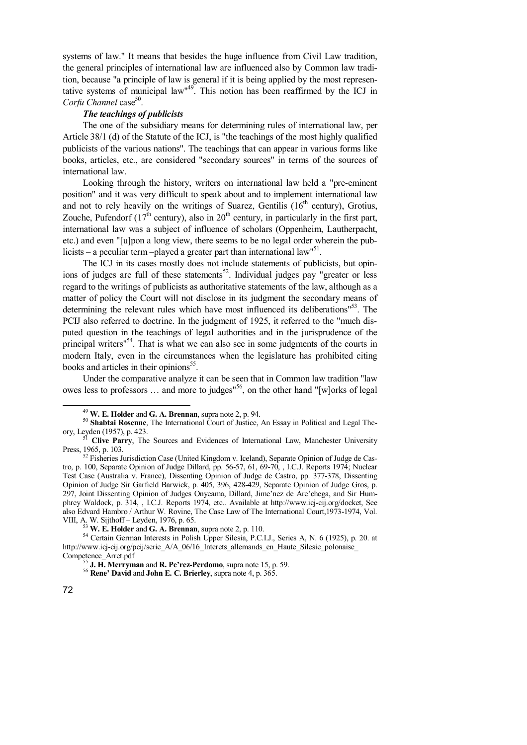systems of law." It means that besides the huge influence from Civil Law tradition, the general principles of international law are influenced also by Common law tradition, because "a principle of law is general if it is being applied by the most representative systems of municipal law<sup>149</sup>. This notion has been reaffirmed by the ICJ in Corfu Channel case<sup>50</sup>.

# *The teachings of publicists*

The one of the subsidiary means for determining rules of international law, per Article 38/1 (d) of the Statute of the ICJ, is "the teachings of the most highly qualified publicists of the various nations". The teachings that can appear in various forms like books, articles, etc., are considered "secondary sources" in terms of the sources of international law.

Looking through the history, writers on international law held a "pre-eminent position" and it was very difficult to speak about and to implement international law and not to rely heavily on the writings of Suarez, Gentilis  $(16<sup>th</sup>$  century), Grotius, Zouche, Pufendorf  $(17<sup>th</sup>$  century), also in  $20<sup>th</sup>$  century, in particularly in the first part, international law was a subject of influence of scholars (Oppenheim, Lautherpacht, etc.) and even "[u]pon a long view, there seems to be no legal order wherein the publicists – a peculiar term –played a greater part than international law<sup>151</sup>.

The ICJ in its cases mostly does not include statements of publicists, but opinions of judges are full of these statements<sup>52</sup>. Individual judges pay "greater or less regard to the writings of publicists as authoritative statements of the law, although as a matter of policy the Court will not disclose in its judgment the secondary means of determining the relevant rules which have most influenced its deliberations<sup>153</sup>. The PCIJ also referred to doctrine. In the judgment of 1925, it referred to the "much disputed question in the teachings of legal authorities and in the jurisprudence of the principal writers<sup>154</sup>. That is what we can also see in some judgments of the courts in modern Italy, even in the circumstances when the legislature has prohibited citing books and articles in their opinions<sup>55</sup>.

Under the comparative analyze it can be seen that in Common law tradition "law owes less to professors ... and more to judges<sup>"56</sup>, on the other hand "[w]orks of legal

<sup>49</sup> **W. E. Holder** and **G. A. Brennan**, supra note 2, p. 94.

<sup>&</sup>lt;sup>50</sup> Shabtai Rosenne, The International Court of Justice, An Essay in Political and Legal Theory, Leyden (1957), p. 423.

<sup>&</sup>lt;sup>51</sup> Clive Parry, The Sources and Evidences of International Law, Manchester University Press, 1965, p. 103.

 $52$  Fisheries Jurisdiction Case (United Kingdom v. Iceland), Separate Opinion of Judge de Castro, p. 100, Separate Opinion of Judge Dillard, pp. 56-57, 61, 69-70, , I.C.J. Reports 1974; Nuclear Test Case (Australia v. France), Dissenting Opinion of Judge de Castro, pp. 377-378, Dissenting Opinion of Judge Sir Garfield Barwick, p. 405, 396, 428-429, Separate Opinion of Judge Gros, p. 297, Joint Dissenting Opinion of Judges Onyeama, Dillard, Jime'nez de Are'chega, and Sir Humphrey Waldock, p. 314, , I.C.J. Reports 1974, etc.. Available at http://www.icj-cij.org/docket, See also Edvard Hambro / Arthur W. Rovine, The Case Law of The International Court,1973-1974, Vol. VIII, A. W. Sijthoff – Leyden, 1976, p. 65.

<sup>53</sup> **W. E. Holder** and **G. A. Brennan**, supra note 2, p. 110.

<sup>54</sup> Certain German Interests in Polish Upper Silesia, P.C.I.J., Series A, N. 6 (1925), p. 20. at http://www.icj-cij.org/pcij/serie\_A/A\_06/16\_Interets\_allemands\_en\_Haute\_Silesie\_polonaise Competence\_Arret.pdf

<sup>55</sup> **J. H. Merryman** and **R. Pe'rez-Perdomo**, supra note 15, p. 59.

<sup>56</sup> **Rene' David** and **John E. C. Brierley**, supra note 4, p. 365.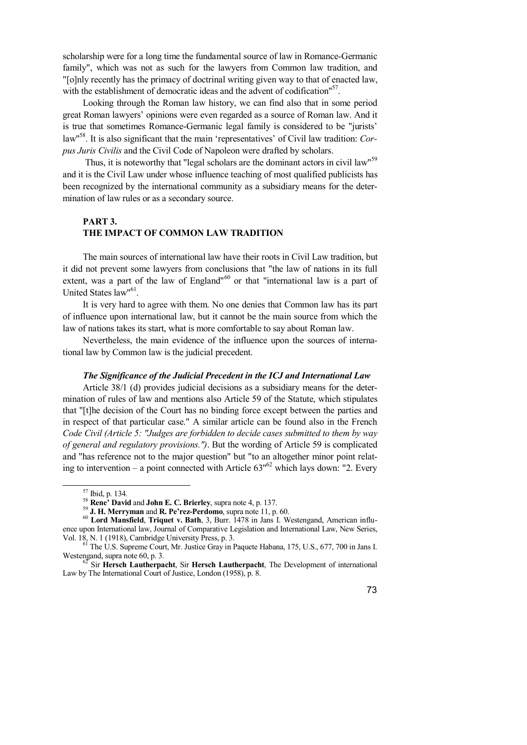scholarship were for a long time the fundamental source of law in Romance-Germanic family", which was not as such for the lawyers from Common law tradition, and "[o]nly recently has the primacy of doctrinal writing given way to that of enacted law, with the establishment of democratic ideas and the advent of codification"<sup>57</sup>.

Looking through the Roman law history, we can find also that in some period great Roman lawyers' opinions were even regarded as a source of Roman law. And it is true that sometimes Romance-Germanic legal family is considered to be "jurists' law" <sup>58</sup>. It is also significant that the main 'representatives' of Civil law tradition: *Corpus Juris Civilis* and the Civil Code of Napoleon were drafted by scholars.

Thus, it is noteworthy that "legal scholars are the dominant actors in civil law"<sup>59</sup> and it is the Civil Law under whose influence teaching of most qualified publicists has been recognized by the international community as a subsidiary means for the determination of law rules or as a secondary source.

# **PART 3.**

# **THE IMPACT OF COMMON LAW TRADITION**

The main sources of international law have their roots in Civil Law tradition, but it did not prevent some lawyers from conclusions that "the law of nations in its full extent, was a part of the law of England"<sup>60</sup> or that "international law is a part of United States law"<sup>61</sup>.

It is very hard to agree with them. No one denies that Common law has its part of influence upon international law, but it cannot be the main source from which the law of nations takes its start, what is more comfortable to say about Roman law.

Nevertheless, the main evidence of the influence upon the sources of international law by Common law is the judicial precedent.

## *The Significance of the Judicial Precedent in the ICJ and International Law*

Article 38/1 (d) provides judicial decisions as a subsidiary means for the determination of rules of law and mentions also Article 59 of the Statute, which stipulates that "[t]he decision of the Court has no binding force except between the parties and in respect of that particular case." A similar article can be found also in the French *Code Civil (Article 5: "Judges are forbidden to decide cases submitted to them by way of general and regulatory provisions.")*. But the wording of Article 59 is complicated and "has reference not to the major question" but "to an altogether minor point relating to intervention – a point connected with Article  $63<sup>162</sup>$  which lays down: "2. Every

 $\overline{a}$ 

<sup>57</sup> Ibid, p. 134.

<sup>58</sup> **Rene' David** and **John E. C. Brierley**, supra note 4, p. 137.

<sup>59</sup> **J. H. Merryman** and **R. Pe'rez-Perdomo**, supra note 11, p. 60.

<sup>60</sup> **Lord Mansfield**, **Triquet v. Bath**, 3, Burr. 1478 in Jans I. Westengand, American influence upon International law, Journal of Comparative Legislation and International Law, New Series, Vol. 18, N. 1 (1918), Cambridge University Press, p. 3.

<sup>&</sup>lt;sup>61</sup> The U.S. Supreme Court, Mr. Justice Gray in Paquete Habana, 175, U.S., 677, 700 in Jans I. Westengand, supra note 60, p. 3.

<sup>62</sup> Sir **Hersch Lautherpacht**, Sir **Hersch Lautherpacht**, The Development of international Law by The International Court of Justice, London (1958), p. 8.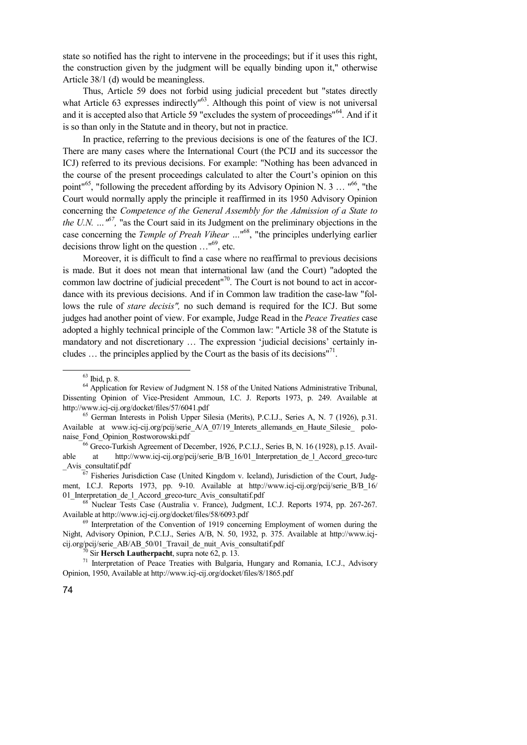state so notified has the right to intervene in the proceedings; but if it uses this right, the construction given by the judgment will be equally binding upon it," otherwise Article 38/1 (d) would be meaningless.

Thus, Article 59 does not forbid using judicial precedent but "states directly what Article 63 expresses indirectly<sup>163</sup>. Although this point of view is not universal and it is accepted also that Article 59 "excludes the system of proceedings"<sup>64</sup>. And if it is so than only in the Statute and in theory, but not in practice.

In practice, referring to the previous decisions is one of the features of the ICJ. There are many cases where the International Court (the PCIJ and its successor the ICJ) referred to its previous decisions. For example: "Nothing has been advanced in the course of the present proceedings calculated to alter the Court's opinion on this point"<sup>65</sup>, "following the precedent affording by its Advisory Opinion N. 3 ... "<sup>66</sup>, "the Court would normally apply the principle it reaffirmed in its 1950 Advisory Opinion concerning the *Competence of the General Assembly for the Admission of a State to the U.N.*  $\ldots$ <sup>67</sup>, "as the Court said in its Judgment on the preliminary objections in the case concerning the *Temple of Preah Vihear* ..."<sup>68</sup>, "the principles underlying earlier decisions throw light on the question …" <sup>69</sup>, etc.

Moreover, it is difficult to find a case where no reaffirmal to previous decisions is made. But it does not mean that international law (and the Court) "adopted the common law doctrine of judicial precedent<sup>"70</sup>. The Court is not bound to act in accordance with its previous decisions. And if in Common law tradition the case-law "follows the rule of *stare decisis",* no such demand is required for the ICJ. But some judges had another point of view. For example, Judge Read in the *Peace Treaties* case adopted a highly technical principle of the Common law: "Article 38 of the Statute is mandatory and not discretionary … The expression 'judicial decisions' certainly includes ... the principles applied by the Court as the basis of its decisions"<sup>71</sup>.

 $\overline{a}$ 

<sup>66</sup> Greco-Turkish Agreement of December, 1926, P.C.I.J., Series B, N. 16 (1928), p.15. Available at http://www.icj-cij.org/pcij/serie\_B/B\_16/01\_Interpretation\_de\_l\_Accord\_greco-turc \_Avis\_consultatif.pdf

<sup>67</sup> Fisheries Jurisdiction Case (United Kingdom v. Iceland), Jurisdiction of the Court, Judgment, I.C.J. Reports 1973, pp. 9-10. Available at http://www.icj-cij.org/pcij/serie B/B 16/ 01 Interpretation de 1 Accord greco-turc Avis consultatif.pdf

<sup>68</sup> Nuclear Tests Case (Australia v. France), Judgment, I.C.J. Reports 1974, pp. 267-267. Available at http://www.icj-cij.org/docket/files/58/6093.pdf

<sup>63</sup> Ibid, p. 8.

<sup>&</sup>lt;sup>64</sup> Application for Review of Judgment N. 158 of the United Nations Administrative Tribunal, Dissenting Opinion of Vice-President Ammoun, I.C. J. Reports 1973, p. 249. Available at http://www.icj-cij.org/docket/files/57/6041.pdf

<sup>&</sup>lt;sup>65</sup> German Interests in Polish Upper Silesia (Merits), P.C.I.J., Series A, N, 7 (1926), p.31. Available at www.icj-cij.org/pcij/serie\_A/A\_07/19\_Interets\_allemands\_en\_Haute\_Silesie\_ polonaise\_Fond\_Opinion\_Rostworowski.pdf

<sup>&</sup>lt;sup>69</sup> Interpretation of the Convention of 1919 concerning Employment of women during the Night, Advisory Opinion, P.C.I.J., Series A/B, N. 50, 1932, p. 375. Available at http://www.icjcij.org/pcij/serie\_AB/AB\_50/01\_Travail\_de\_nuit\_Avis\_consultatif.pdf

 $\rm^0$  Sir **Hersch Lautherpacht**, supra note 62, p. 13.

<sup>71</sup> Interpretation of Peace Treaties with Bulgaria, Hungary and Romania, I.C.J., Advisory Opinion, 1950, Available at http://www.icj-cij.org/docket/files/8/1865.pdf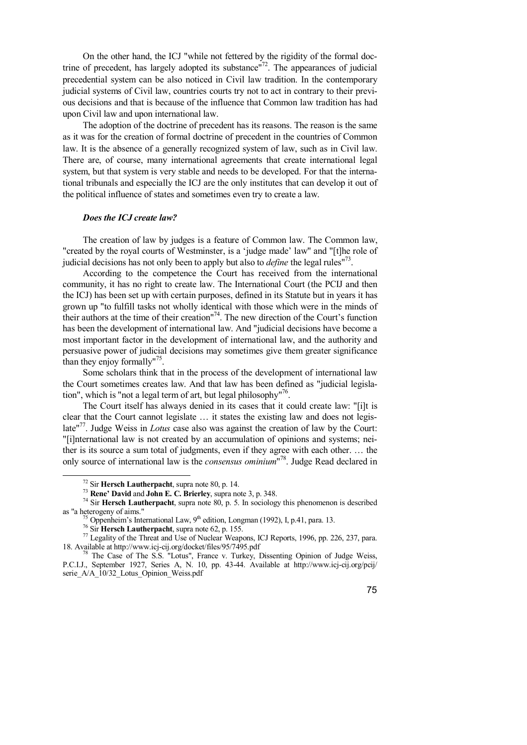On the other hand, the ICJ "while not fettered by the rigidity of the formal doctrine of precedent, has largely adopted its substance" $<sup>72</sup>$ . The appearances of judicial</sup> precedential system can be also noticed in Civil law tradition. In the contemporary judicial systems of Civil law, countries courts try not to act in contrary to their previous decisions and that is because of the influence that Common law tradition has had upon Civil law and upon international law.

The adoption of the doctrine of precedent has its reasons. The reason is the same as it was for the creation of formal doctrine of precedent in the countries of Common law. It is the absence of a generally recognized system of law, such as in Civil law. There are, of course, many international agreements that create international legal system, but that system is very stable and needs to be developed. For that the international tribunals and especially the ICJ are the only institutes that can develop it out of the political influence of states and sometimes even try to create a law.

## *Does the ICJ create law?*

The creation of law by judges is a feature of Common law. The Common law, "created by the royal courts of Westminster, is a 'judge made' law" and "[t]he role of judicial decisions has not only been to apply but also to *define* the legal rules" 73 .

According to the competence the Court has received from the international community, it has no right to create law. The International Court (the PCIJ and then the ICJ) has been set up with certain purposes, defined in its Statute but in years it has grown up "to fulfill tasks not wholly identical with those which were in the minds of their authors at the time of their creation" 74 . The new direction of the Court's function has been the development of international law. And "judicial decisions have become a most important factor in the development of international law, and the authority and persuasive power of judicial decisions may sometimes give them greater significance than they enjoy formally"<sup>75</sup>.

Some scholars think that in the process of the development of international law the Court sometimes creates law. And that law has been defined as "judicial legislation", which is "not a legal term of art, but legal philosophy"<sup>76</sup>.

The Court itself has always denied in its cases that it could create law: "[i]t is clear that the Court cannot legislate … it states the existing law and does not legislate"<sup>77</sup>. Judge Weiss in *Lotus* case also was against the creation of law by the Court: "[i]nternational law is not created by an accumulation of opinions and systems; neither is its source a sum total of judgments, even if they agree with each other. … the only source of international law is the *consensus ominium*" 78 . Judge Read declared in

 $\overline{a}$ 

<sup>72</sup> Sir **Hersch Lautherpacht**, supra note 80, p. 14.

<sup>73</sup> **Rene' David** and **John E. C. Brierley**, supra note 3, p. 348.

<sup>&</sup>lt;sup>74</sup> Sir **Hersch Lautherpacht**, supra note 80, p. 5. In sociology this phenomenon is described as "a heterogeny of aims."

 $^{15}$  Oppenheim's International Law, 9<sup>th</sup> edition, Longman (1992), I, p.41, para. 13.

<sup>76</sup> Sir **Hersch Lautherpacht**, supra note 62, p. 155.

 $^{77}$  Legality of the Threat and Use of Nuclear Weapons, ICJ Reports, 1996, pp. 226, 237, para. 18. Available at http://www.icj-cij.org/docket/files/95/7495.pdf

<sup>&</sup>lt;sup>78</sup> The Case of The S.S. "Lotus", France v. Turkey, Dissenting Opinion of Judge Weiss, P.C.I.J., September 1927, Series A, N. 10, pp. 43-44. Available at http://www.icj-cij.org/pcij/ serie A/A\_10/32 Lotus Opinion Weiss.pdf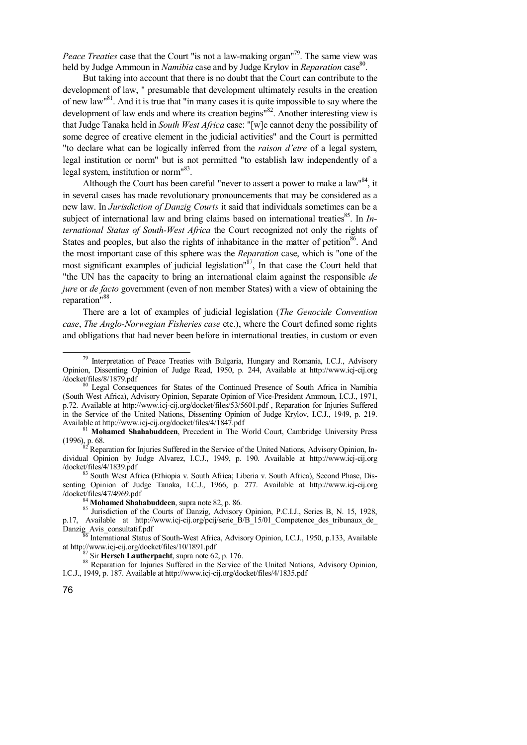Peace Treaties case that the Court "is not a law-making organ<sup>179</sup>. The same view was held by Judge Ammoun in *Namibia* case and by Judge Krylov in *Reparation* case 80 .

But taking into account that there is no doubt that the Court can contribute to the development of law, " presumable that development ultimately results in the creation of new law<sup>81</sup>. And it is true that "in many cases it is quite impossible to say where the development of law ends and where its creation begins<sup>182</sup>. Another interesting view is that Judge Tanaka held in *South West Africa* case: "[w]e cannot deny the possibility of some degree of creative element in the judicial activities" and the Court is permitted "to declare what can be logically inferred from the *raison d'etre* of a legal system, legal institution or norm" but is not permitted "to establish law independently of a legal system, institution or norm"<sup>83</sup>.

Although the Court has been careful "never to assert a power to make a law"<sup>84</sup>, it in several cases has made revolutionary pronouncements that may be considered as a new law. In *Jurisdiction of Danzig Courts* it said that individuals sometimes can be a subject of international law and bring claims based on international treaties<sup>85</sup>. In *International Status of South-West Africa* the Court recognized not only the rights of States and peoples, but also the rights of inhabitance in the matter of petition<sup>86</sup>. And the most important case of this sphere was the *Reparation* case, which is "one of the most significant examples of judicial legislation"<sup>87</sup>, In that case the Court held that "the UN has the capacity to bring an international claim against the responsible *de jure* or *de facto* government (even of non member States) with a view of obtaining the reparation"<sup>88</sup>.

There are a lot of examples of judicial legislation (*The Genocide Convention case*, *The Anglo-Norwegian Fisheries case* etc.), where the Court defined some rights and obligations that had never been before in international treaties, in custom or even

Reparation for Injuries Suffered in the Service of the United Nations, Advisory Opinion, Individual Opinion by Judge Alvarez, I.C.J., 1949, p. 190. Available at http://www.icj-cij.org /docket/files/4/1839.pdf

<sup>83</sup> South West Africa (Ethiopia v. South Africa; Liberia v. South Africa), Second Phase, Dissenting Opinion of Judge Tanaka, I.C.J., 1966, p. 277. Available at http://www.icj-cij.org /docket/files/47/4969.pdf

<sup>84</sup> **Mohamed Shahabuddeen**, supra note 82, p. 86.

85 Jurisdiction of the Courts of Danzig, Advisory Opinion, P.C.I.J., Series B, N. 15, 1928, p.17, Available at http://www.icj-cij.org/pcij/serie B/B 15/01 Competence des tribunaux de Danzig\_Avis\_consultatif.pdf

International Status of South-West Africa, Advisory Opinion, I.C.J., 1950, p.133, Available at http://www.icj-cij.org/docket/files/10/1891.pdf

<sup>87</sup> Sir **Hersch Lautherpacht**, supra note 62, p. 176.

88 Reparation for Injuries Suffered in the Service of the United Nations, Advisory Opinion, I.C.J., 1949, p. 187. Available at http://www.icj-cij.org/docket/files/4/1835.pdf

 $79$  Interpretation of Peace Treaties with Bulgaria, Hungary and Romania, I.C.J., Advisory Opinion, Dissenting Opinion of Judge Read, 1950, p. 244, Available at http://www.icj-cij.org /docket/files/8/1879.pdf

<sup>&</sup>lt;sup>80</sup> Legal Consequences for States of the Continued Presence of South Africa in Namibia (South West Africa), Advisory Opinion, Separate Opinion of Vice-President Ammoun, I.C.J., 1971, p.72. Available at http://www.icj-cij.org/docket/files/53/5601.pdf , Reparation for Injuries Suffered in the Service of the United Nations, Dissenting Opinion of Judge Krylov, I.C.J., 1949, p. 219. Available at http://www.icj-cij.org/docket/files/4/1847.pdf

<sup>81</sup> **Mohamed Shahabuddeen**, Precedent in The World Court, Cambridge University Press  $(1996)$ , p. 68.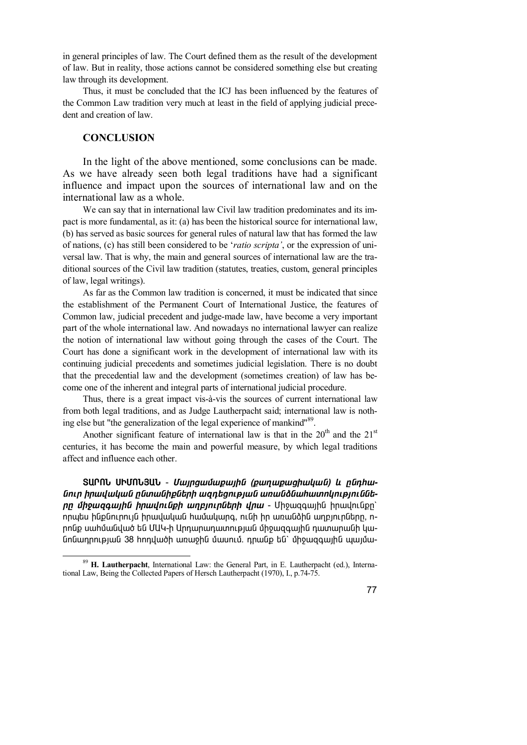in general principles of law. The Court defined them as the result of the development of law. But in reality, those actions cannot be considered something else but creating law through its development.

Thus, it must be concluded that the ICJ has been influenced by the features of the Common Law tradition very much at least in the field of applying judicial precedent and creation of law.

# **CONCLUSION**

 $\overline{a}$ 

In the light of the above mentioned, some conclusions can be made. As we have already seen both legal traditions have had a significant influence and impact upon the sources of international law and on the international law as a whole.

We can say that in international law Civil law tradition predominates and its impact is more fundamental, as it: (a) has been the historical source for international law, (b) has served as basic sources for general rules of natural law that has formed the law of nations, (c) has still been considered to be '*ratio scripta'*, or the expression of universal law. That is why, the main and general sources of international law are the traditional sources of the Civil law tradition (statutes, treaties, custom, general principles of law, legal writings).

As far as the Common law tradition is concerned, it must be indicated that since the establishment of the Permanent Court of International Justice, the features of Common law, judicial precedent and judge-made law, have become a very important part of the whole international law. And nowadays no international lawyer can realize the notion of international law without going through the cases of the Court. The Court has done a significant work in the development of international law with its continuing judicial precedents and sometimes judicial legislation. There is no doubt that the precedential law and the development (sometimes creation) of law has become one of the inherent and integral parts of international judicial procedure.

Thus, there is a great impact vis-à-vis the sources of current international law from both legal traditions, and as Judge Lautherpacht said; international law is nothing else but "the generalization of the legal experience of mankind"<sup>89</sup>.

Another significant feature of international law is that in the  $20<sup>th</sup>$  and the  $21<sup>st</sup>$ centuries, it has become the main and powerful measure, by which legal traditions affect and influence each other.

**SUՐՈՆ ՍԻՄՈՆՅԱՆ -** *Մայրցամաքային (քաղաքացիական) և ընդհա* $f$ *Gnın hnwuwuwuG nGwwGhpGtnh wantanı pıwG wnwGôGwhwmhnwpniGGtnn միջազգային իրավունքի աղբյուրների վրա -* **Մի**ջազգային իրավունքը` որպես ինքնուրույն իրավական համակարգ, ունի իր առանձին աղբյուրները, ո-<u>nnնք սաիմանված են ՄԱԿ-ի Արդարադատության միջազգային դատարանի կա-</u> GnGwnnnlpjwG 38 hnnywoh wnwohG մwunlu nnwGp tG` միջwqqwjhG պայմա-

<sup>89</sup> **H. Lautherpacht**, International Law: the General Part, in E. Lautherpacht (ed.), International Law, Being the Collected Papers of Hersch Lautherpacht (1970), I., p.74-75.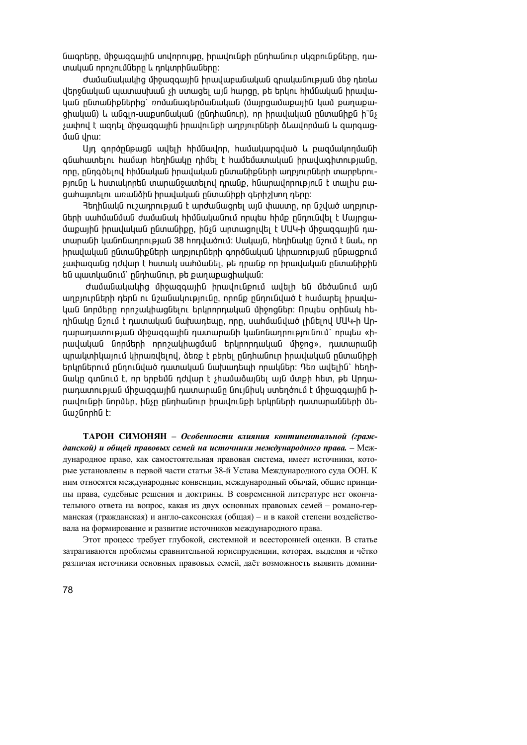նագրերը, միջազգային սովորույթը, իրավունքի ընդհանուր սկզբունքները, դատական որոշումները և դոկտրինաները:

dամանակակից միջացգային իրավաբանական գրականության մեջ դեռևս վերջնական պատասխան չի ստացել այն hարցը, թե երկու hիմնական իրավա-<u>կան ընտանիքներից՝ ռոմանագերմանական (մայրզամաքային կամ քաղաքա-</u> ohական) և անգլո-սաքսոնական (ոնդիանուր), որ իրավական ընտանիքն ի՞նչ  $\frac{1}{2}$ չափով է ազդել միջազգային իրավունքի աղբյուրների ձևավորման և զարգազ ման վոա:

Uյդ գործընթացն ավելի hիմնավոր, hամակարգված և բազմակողմանի գնաիատելու իամար իեղինակը դիմել է իամեմատական իրավագիտությանը, nրը, ընդգծելով hիմնական իրավական ընտանիքների աղբյուրների տարբերուpinւնը և humwynnեն տարանջատելով դրանք, hնարավորություն է տալիս բագահայտելու առանձին իրավական ընտանիքի գերիշխող դերը։

Ranhնակն ուշադրության է արժանացրել այն փաստը, որ նշված աղբյուրների սահմանման ժամանակ հիմնականում որպես հիմք ընդունվել է Մայրցա-<u>մաքային իրավական ընտանիքը, ինչն արտացոլվել է ՄԱԿ-ի միջազգային դա-</u> inwnw. unling Tangang Dan Jahar Dahabahan Sumang ing Dan Jahar Jahar Jahar Jahar Jahar Jahar Jahar Jahar Jahar իրավական ընտանիքների աղբյուրների գործնական կիրառության ընթացքում  $s$ ափազանզ դժվար է hստակ սաիմանել, թե դրանք որ իրավական ընտանիքին են պատկանում` ընդհանուր, թե քաղաքացիական:

dամանակակից միջազգային իրավունքում ավելի են մեծանում այն աղբյուրների դերն ու նշանակությունը, որոնք ընդունված է համարել իրավական նորմերը որոշակիացնելու երկրորդական միջոցներ։ Որպես օրինակ hեղինակը նշում է դատական նախադեպը, որը, սահմանված լինելով ՄԱԿ-ի Արnարադատության միջազգային դատարանի կանոնադրությունում` որպես «hnավական նորմերի որոշակիացման երկրորդական միջոց», դատարանի <u>պրակտիկայում կիրառվելով, ձեռք է բերել ընդիանուր իրավական ընտանիքի</u> երկրներում ընդունված դատական նախադեպի որակներ։ Դեռ ավելին` hերինակը գտնում է, որ երբեմն դժվար է չիամաձայնել այն մտքի hետ, թե Արդաnադատության միջազգային դատարանը նույնիսկ ստեղծում է միջազգային իրավունքի նորմեր, ինչը ընդհանուր իրավունքի երկրների դատարանների մե-Gw2GnnhG t:

**ТАРОН СИМОНЯН** *– Особенности влияния континентальной (гражданской) и общей правовых семей на источники международного права. –* Международное право, как самостоятельная правовая система, имеет источники, которые установлены в первой части статьи 38-й Устава Международного суда ООН. К ним относятся международные конвенции, международный обычай, общие принципы права, судебные решения и доктрины. В современной литературе нет окончательного ответа на вопрос, какая из двух основных правовых семей – романо-германская (гражданская) и англо-саксонская (общая) – и в какой степени воздействовала на формирование и развитие источников международного права.

Этот процесс требует глубокой, системной и всесторонней оценки. В статье затрагиваются проблемы сравнительной юриспруденции, которая, выделяя и чётко различая источники основных правовых семей, даёт возможность выявить домини